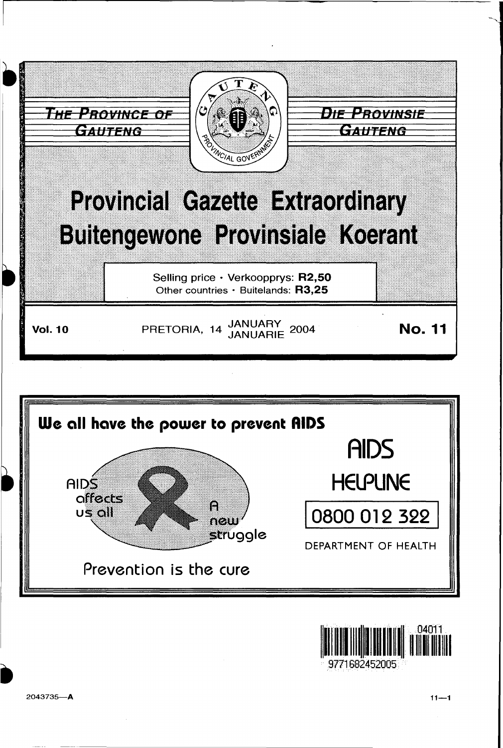





2043735-A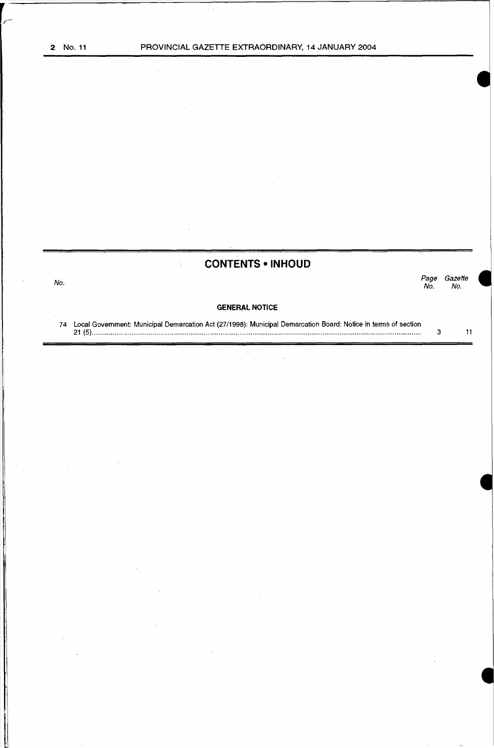**CONTENTS •INHOUD** 

No. Page Gazette Page Gazet<br>No. No.

#### **GENERAL NOTICE**

74 Local Government: Municipal Demarcation Act (27/1998): Municipal Demarcation Board: Notice in terms of section 21 (5) ............................................................................................................................................................................. . 3 11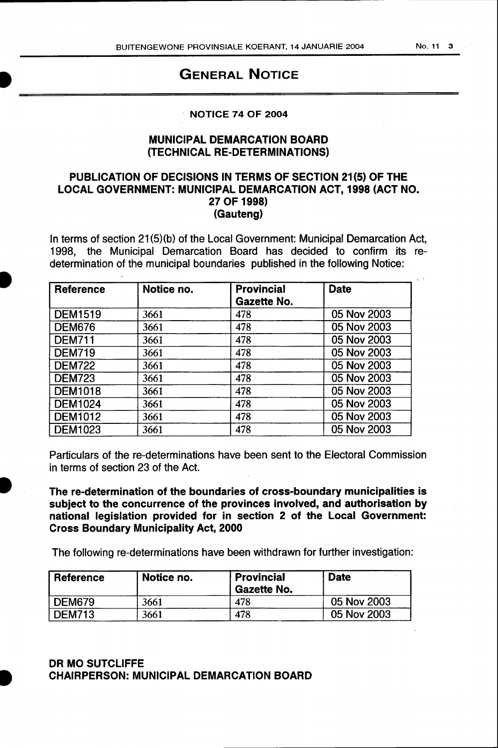# GENERAL NOTICE

# · NOTICE 74 OF 2004

## MUNICIPAL DEMARCATION BOARD (TECHNICAL RE-DETERMINATIONS)

## PUBLICATION OF DECISIONS IN TERMS OF SECTION 21(5) OF THE LOCAL GOVERNMENT: MUNICIPAL DEMARCATION ACT, 1998 (ACT NO. 27 OF 1998) (Gauteng)

In terms of section 21(5)(b) of the Local Government: Municipal Demarcation Act, 1998, the Municipal Demarcation Board has decided to confirm its re determination of the municipal boundaries published in the following Notice:

| Reference      | Notice no. | <b>Provincial</b><br>Gazette No. | <b>Date</b> |
|----------------|------------|----------------------------------|-------------|
| <b>DEM1519</b> | 3661       | 478                              | 05 Nov 2003 |
| <b>DEM676</b>  | 3661       | 478                              | 05 Nov 2003 |
| <b>DEM711</b>  | 3661       | 478                              | 05 Nov 2003 |
| <b>DEM719</b>  | 3661       | 478                              | 05 Nov 2003 |
| <b>DEM722</b>  | 3661       | 478                              | 05 Nov 2003 |
| <b>DEM723</b>  | 3661       | 478                              | 05 Nov 2003 |
| <b>DEM1018</b> | 3661       | 478                              | 05 Nov 2003 |
| <b>DEM1024</b> | 3661       | 478                              | 05 Nov 2003 |
| <b>DEM1012</b> | 3661       | 478                              | 05 Nov 2003 |
| <b>DEM1023</b> | 3661       | 478                              | 05 Nov 2003 |

Particulars of the re-determinations have been sent to the Electoral Commission in terms of section 23 of the Act.

The re-determination of the boundaries of cross-boundary municipalities is subject to the concurrence of the provinces involved, and authorisation by national legislation provided for in section 2 of the Local Government: Cross Boundary Municipality Act, 2000

The following re-determinations have been withdrawn for further investigation:

| <b>Reference</b> | Notice no. | <b>Provincial</b><br><b>Gazette No.</b> | <b>Date</b> |
|------------------|------------|-----------------------------------------|-------------|
| DEM679           | 3661       | 478                                     | 05 Nov 2003 |
| DEM713           | 3661       | 478                                     | 05 Nov 2003 |

# DR MO SUTCLIFFE CHAIRPERSON: MUNICIPAL DEMARCATION BOARD